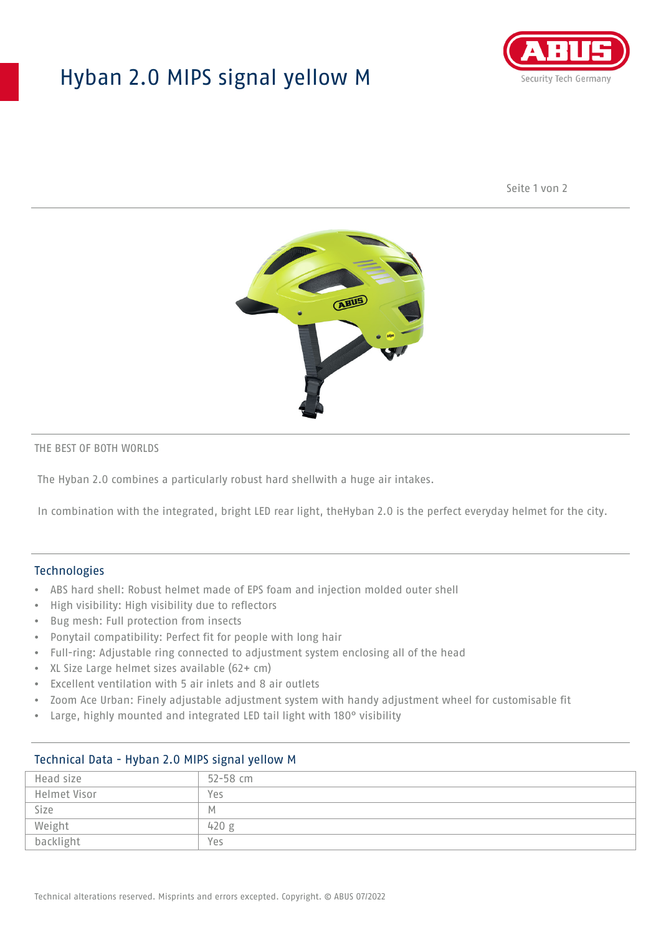## Hyban 2.0 MIPS signal yellow M



Seite 1 von 2



#### THE BEST OF BOTH WORLDS

The Hyban 2.0 combines a particularly robust hard shellwith a huge air intakes.

In combination with the integrated, bright LED rear light, theHyban 2.0 is the perfect everyday helmet for the city.

### Technologies

- ABS hard shell: Robust helmet made of EPS foam and injection molded outer shell
- High visibility: High visibility due to reflectors
- Bug mesh: Full protection from insects
- Ponytail compatibility: Perfect fit for people with long hair
- Full-ring: Adjustable ring connected to adjustment system enclosing all of the head
- XL Size Large helmet sizes available (62+ cm)
- Excellent ventilation with 5 air inlets and 8 air outlets
- Zoom Ace Urban: Finely adjustable adjustment system with handy adjustment wheel for customisable fit
- Large, highly mounted and integrated LED tail light with 180° visibility

| $\frac{1}{2}$ recrimined bata $\frac{1}{2}$ in $\frac{1}{2}$ is $\frac{1}{2}$ in $\frac{1}{2}$ is $\frac{1}{2}$ in $\frac{1}{2}$ |              |
|----------------------------------------------------------------------------------------------------------------------------------|--------------|
| Head size                                                                                                                        | $52 - 58$ cm |
| Helmet Visor                                                                                                                     | Yes          |
| Size                                                                                                                             | M            |
| Weight                                                                                                                           | 420 g        |
| backlight                                                                                                                        | Yes          |

## Technical Data - Hyban 2.0 MIPS signal yellow M